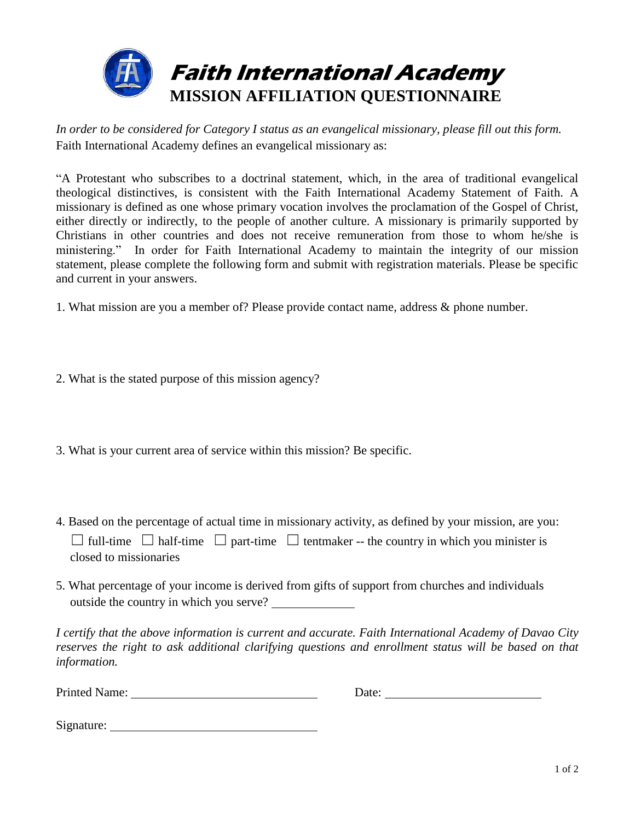

*In order to be considered for Category I status as an evangelical missionary, please fill out this form.* Faith International Academy defines an evangelical missionary as:

"A Protestant who subscribes to a doctrinal statement, which, in the area of traditional evangelical theological distinctives, is consistent with the Faith International Academy Statement of Faith. A missionary is defined as one whose primary vocation involves the proclamation of the Gospel of Christ, either directly or indirectly, to the people of another culture. A missionary is primarily supported by Christians in other countries and does not receive remuneration from those to whom he/she is ministering." In order for Faith International Academy to maintain the integrity of our mission statement, please complete the following form and submit with registration materials. Please be specific and current in your answers.

1. What mission are you a member of? Please provide contact name, address & phone number.

- 2. What is the stated purpose of this mission agency?
- 3. What is your current area of service within this mission? Be specific.
- 4. Based on the percentage of actual time in missionary activity, as defined by your mission, are you:  $\Box$  full-time  $\Box$  half-time  $\Box$  part-time  $\Box$  tentmaker -- the country in which you minister is closed to missionaries
- 5. What percentage of your income is derived from gifts of support from churches and individuals outside the country in which you serve?

*I certify that the above information is current and accurate. Faith International Academy of Davao City reserves the right to ask additional clarifying questions and enrollment status will be based on that information.*

Printed Name: Date: Date: Date: Date: Date: Date: Date: Date: Date: Date: Date: Date: Date: Date: Date: Date: Date: Date: Date: Date: Date: Date: Date: Date: Date: Date: Date: Date: Date: Date: Date: Date: Date: Date: Date

Signature: